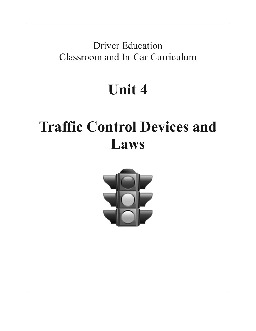Driver Education Classroom and In-Car Curriculum

## **Unit 4**

# **Traffic Control Devices and Laws**

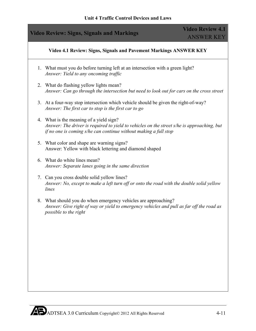#### **Video 4.1 Review: Signs, Signals and Pavement Markings ANSWER KEY**

- 1. What must you do before turning left at an intersection with a green light? *Answer: Yield to any oncoming traffic*
- 2. What do flashing yellow lights mean? *Answer: Can go through the intersection but need to look out for cars on the cross street*
- 3. At a four-way stop intersection which vehicle should be given the right-of-way? *Answer: The first car to stop is the first car to go*
- 4. What is the meaning of a yield sign? *Answer: The driver is required to yield to vehicles on the street s/he is approaching, but if no one is coming s/he can continue without making a full stop*
- 5. What color and shape are warning signs? Answer: Yellow with black lettering and diamond shaped
- 6. What do white lines mean? *Answer: Separate lanes going in the same direction*
- 7. Can you cross double solid yellow lines? *Answer: No, except to make a left turn off or onto the road with the double solid yellow lines*
- 8. What should you do when emergency vehicles are approaching? *Answer: Give right of way or yield to emergency vehicles and pull as far off the road as possible to the right*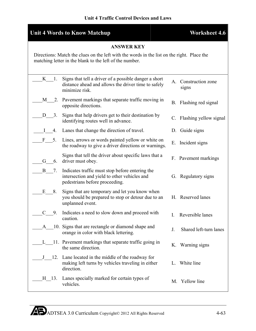## **Unit 4 Traffic Control Devices and Laws**

| <b>Unit 4 Words to Know Matchup</b><br><b>Worksheet 4.6</b>                                                                                           |                                                                                                                                   |    |                               |  |  |
|-------------------------------------------------------------------------------------------------------------------------------------------------------|-----------------------------------------------------------------------------------------------------------------------------------|----|-------------------------------|--|--|
| <b>ANSWER KEY</b>                                                                                                                                     |                                                                                                                                   |    |                               |  |  |
| Directions: Match the clues on the left with the words in the list on the right. Place the<br>matching letter in the blank to the left of the number. |                                                                                                                                   |    |                               |  |  |
| $K = 1$ .                                                                                                                                             | Signs that tell a driver of a possible danger a short<br>distance ahead and allows the driver time to safely<br>minimize risk.    |    | A. Construction zone<br>signs |  |  |
| M<br>2.                                                                                                                                               | Pavement markings that separate traffic moving in<br>opposite directions.                                                         |    | B. Flashing red signal        |  |  |
| D<br>3.                                                                                                                                               | Signs that help drivers get to their destination by<br>identifying routes well in advance.                                        |    | C. Flashing yellow signal     |  |  |
| $\bf{l}$<br>4.                                                                                                                                        | Lanes that change the direction of travel.                                                                                        | D. | Guide signs                   |  |  |
| F 5.                                                                                                                                                  | Lines, arrows or words painted yellow or white on<br>the roadway to give a driver directions or warnings.                         |    | E. Incident signs             |  |  |
| G<br>6.                                                                                                                                               | Signs that tell the driver about specific laws that a<br>driver must obey.                                                        |    | F. Pavement markings          |  |  |
| B<br>7.                                                                                                                                               | Indicates traffic must stop before entering the<br>intersection and yield to other vehicles and<br>pedestrians before proceeding. |    | G. Regulatory signs           |  |  |
| Ε<br>8.                                                                                                                                               | Signs that are temporary and let you know when<br>you should be prepared to stop or detour due to an<br>unplanned event.          |    | H. Reserved lanes             |  |  |
| 9.                                                                                                                                                    | Indicates a need to slow down and proceed with<br>caution.                                                                        | I. | Reversible lanes              |  |  |
| A                                                                                                                                                     | 10. Signs that are rectangle or diamond shape and<br>orange in color with black lettering.                                        | J. | Shared left-turn lanes        |  |  |
|                                                                                                                                                       | L 11. Pavement markings that separate traffic going in<br>the same direction.                                                     | Κ. | Warning signs                 |  |  |
| J<br>12.                                                                                                                                              | Lane located in the middle of the roadway for<br>making left turns by vehicles traveling in either<br>direction.                  | L. | White line                    |  |  |
| H 13.                                                                                                                                                 | Lanes specially marked for certain types of<br>vehicles.                                                                          |    | M. Yellow line                |  |  |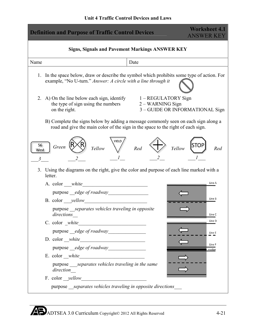| <b>Definition and Purpose of Traffic Control Devices</b>                                                                                                               | <b>Worksheet 4.1</b><br><b>ANSWER KEY</b> |  |  |  |  |
|------------------------------------------------------------------------------------------------------------------------------------------------------------------------|-------------------------------------------|--|--|--|--|
| <b>Signs, Signals and Pavement Markings ANSWER KEY</b>                                                                                                                 |                                           |  |  |  |  |
| Name<br>Date                                                                                                                                                           |                                           |  |  |  |  |
| In the space below, draw or describe the symbol which prohibits some type of action. For<br>1.<br>example, "No U-turn." Answer: A circle with a line through it        |                                           |  |  |  |  |
| 2. A) On the line below each sign, identify 1 – REGULATORY Sign<br>2 – WARNING Sign<br>the type of sign using the numbers<br>on the right.                             | 3 - GUIDE OR INFORMATIONAL Sign           |  |  |  |  |
| B) Complete the signs below by adding a message commonly seen on each sign along a<br>road and give the main color of the sign in the space to the right of each sign. |                                           |  |  |  |  |
| YIELD<br>56<br>Green<br>Red<br>Yellow<br>West<br>3                                                                                                                     | STOP<br>Yellow<br>Red                     |  |  |  |  |
| Using the diagrams on the right, give the color and purpose of each line marked with a<br>3.<br>letter.                                                                |                                           |  |  |  |  |
|                                                                                                                                                                        | Line A                                    |  |  |  |  |
|                                                                                                                                                                        |                                           |  |  |  |  |
| B. color ___ yellow____                                                                                                                                                | Line B                                    |  |  |  |  |
| purpose separates vehicles traveling in opposite<br>directions                                                                                                         | Line C                                    |  |  |  |  |
|                                                                                                                                                                        | Line D                                    |  |  |  |  |
|                                                                                                                                                                        | Line E                                    |  |  |  |  |
| $D. color\_white$                                                                                                                                                      |                                           |  |  |  |  |
|                                                                                                                                                                        | Line F<br>median                          |  |  |  |  |
|                                                                                                                                                                        |                                           |  |  |  |  |
| purpose <i>separates vehicles traveling in the same</i><br>direction                                                                                                   |                                           |  |  |  |  |
| F. color <i>_yellow</i><br><u> 1980 - Andrea Albert III, martin a bh</u>                                                                                               |                                           |  |  |  |  |
| purpose separates vehicles traveling in opposite directions                                                                                                            |                                           |  |  |  |  |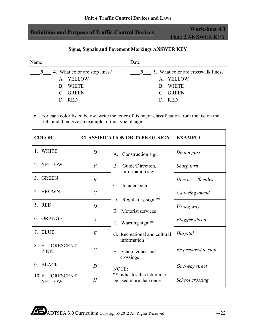| <b>Definition and Purpose of Traffic Control Devices</b>                                                                                                    | <b>Worksheet 4.1</b><br>Page 2 ANSWER KEY |                                                        |                                                                                                                                                                                                                        |  |  |  |
|-------------------------------------------------------------------------------------------------------------------------------------------------------------|-------------------------------------------|--------------------------------------------------------|------------------------------------------------------------------------------------------------------------------------------------------------------------------------------------------------------------------------|--|--|--|
| <b>Signs, Signals and Pavement Markings ANSWER KEY</b>                                                                                                      |                                           |                                                        |                                                                                                                                                                                                                        |  |  |  |
| Name                                                                                                                                                        |                                           | Date                                                   |                                                                                                                                                                                                                        |  |  |  |
| $\boldsymbol{B}$<br>A. YELLOW<br><b>WHITE</b><br><b>B.</b><br><b>GREEN</b><br>$C_{\cdot}$<br>D. RED<br>right and then give an example of this type of sign. | 4. What color are stop lines?             | $\boldsymbol{B}$                                       | 5. What color are crosswalk lines?<br>A. YELLOW<br><b>WHITE</b><br><b>B.</b><br><b>GREEN</b><br>$C_{-}$<br>D. RED<br>6. For each color listed below, write the letter of its major classification from the list on the |  |  |  |
| <b>COLOR</b>                                                                                                                                                | <b>CLASSIFICATION OR TYPE OF SIGN</b>     |                                                        | <b>EXAMPLE</b>                                                                                                                                                                                                         |  |  |  |
| 1. WHITE                                                                                                                                                    | $\overline{D}$                            | A. Construction sign                                   | Do not pass                                                                                                                                                                                                            |  |  |  |
| <b>YELLOW</b><br>2                                                                                                                                          | $\overline{F}$                            | Guide/Direction,<br><b>B.</b><br>information sign      | Sharp turn                                                                                                                                                                                                             |  |  |  |
| 3. GREEN                                                                                                                                                    | $\boldsymbol{B}$                          | Incident sign<br>$\mathbb{C}$ .                        | Denver $-20$ miles                                                                                                                                                                                                     |  |  |  |
| 4. BROWN                                                                                                                                                    | $\overline{G}$                            |                                                        | Canoeing ahead                                                                                                                                                                                                         |  |  |  |
| 5. RED                                                                                                                                                      | $\overline{D}$                            | Regulatory sign **<br>D.<br>Motorist services<br>Ε.    | Wrong way                                                                                                                                                                                                              |  |  |  |
| 6. ORANGE                                                                                                                                                   | $\boldsymbol{A}$                          | Warning sign **<br>$F_{\rm{c}}$                        | Flagger ahead                                                                                                                                                                                                          |  |  |  |
| 7. BLUE                                                                                                                                                     | E                                         | G. Recreational and cultural<br>information            | Hospital                                                                                                                                                                                                               |  |  |  |
| 8. FLUORESCENT<br><b>PINK</b>                                                                                                                               | $\mathcal{C}_{0}^{0}$                     | H. School zones and<br>crossings                       | Be prepared to stop                                                                                                                                                                                                    |  |  |  |
| 9. BLACK                                                                                                                                                    | $\overline{D}$                            | NOTE:                                                  | One-way street                                                                                                                                                                                                         |  |  |  |
| 10. FLUORESCENT<br><b>YELLOW</b>                                                                                                                            | H                                         | ** Indicates this letter may<br>be used more than once | School crossing                                                                                                                                                                                                        |  |  |  |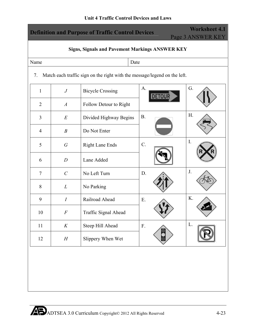| <b>Worksheet 4.1</b><br><b>Definition and Purpose of Traffic Control Devices</b><br>Page 3 ANSWER KEY |                  |                                 |            |    |  |  |  |
|-------------------------------------------------------------------------------------------------------|------------------|---------------------------------|------------|----|--|--|--|
| <b>Signs, Signals and Pavement Markings ANSWER KEY</b>                                                |                  |                                 |            |    |  |  |  |
| Name                                                                                                  | Date             |                                 |            |    |  |  |  |
| Match each traffic sign on the right with the message/legend on the left.<br>7.                       |                  |                                 |            |    |  |  |  |
| $\mathbf{1}$                                                                                          | $\boldsymbol{J}$ | <b>Bicycle Crossing</b>         | A.         | G. |  |  |  |
| $\overline{2}$                                                                                        | $\boldsymbol{A}$ | Follow Detour to Right          |            |    |  |  |  |
| 3                                                                                                     | $E_{\rm}$        | Divided Highway Begins          | <b>B.</b>  | H. |  |  |  |
| $\overline{4}$                                                                                        | $\boldsymbol{B}$ | Do Not Enter                    |            |    |  |  |  |
| 5                                                                                                     | $\, G \,$        | $C$ .<br><b>Right Lane Ends</b> |            | I. |  |  |  |
| 6                                                                                                     | $\boldsymbol{D}$ | Lane Added                      |            |    |  |  |  |
| $\overline{7}$                                                                                        | $\overline{C}$   | No Left Turn                    | D.         | J. |  |  |  |
| 8                                                                                                     | L                | No Parking                      |            |    |  |  |  |
| 9                                                                                                     | $\boldsymbol{I}$ | Railroad Ahead                  | E.         | K. |  |  |  |
| 10                                                                                                    | F                | Traffic Signal Ahead            |            |    |  |  |  |
| 11                                                                                                    | $K_{\rm}$        | Steep Hill Ahead                | ${\bf F}.$ | L. |  |  |  |
| 12                                                                                                    | $\boldsymbol{H}$ | Slippery When Wet               |            |    |  |  |  |
|                                                                                                       |                  |                                 |            |    |  |  |  |
|                                                                                                       |                  |                                 |            |    |  |  |  |
|                                                                                                       |                  |                                 |            |    |  |  |  |